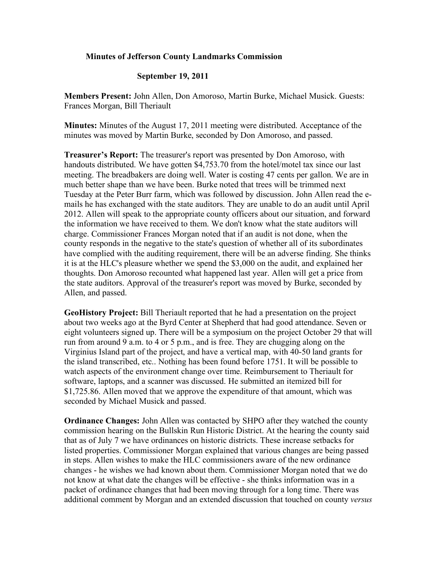## **Minutes of Jefferson County Landmarks Commission**

## **September 19, 2011**

**Members Present:** John Allen, Don Amoroso, Martin Burke, Michael Musick. Guests: Frances Morgan, Bill Theriault

**Minutes:** Minutes of the August 17, 2011 meeting were distributed. Acceptance of the minutes was moved by Martin Burke, seconded by Don Amoroso, and passed.

**Treasurer's Report:** The treasurer's report was presented by Don Amoroso, with handouts distributed. We have gotten \$4,753.70 from the hotel/motel tax since our last meeting. The breadbakers are doing well. Water is costing 47 cents per gallon. We are in much better shape than we have been. Burke noted that trees will be trimmed next Tuesday at the Peter Burr farm, which was followed by discussion. John Allen read the emails he has exchanged with the state auditors. They are unable to do an audit until April 2012. Allen will speak to the appropriate county officers about our situation, and forward the information we have received to them. We don't know what the state auditors will charge. Commissioner Frances Morgan noted that if an audit is not done, when the county responds in the negative to the state's question of whether all of its subordinates have complied with the auditing requirement, there will be an adverse finding. She thinks it is at the HLC's pleasure whether we spend the \$3,000 on the audit, and explained her thoughts. Don Amoroso recounted what happened last year. Allen will get a price from the state auditors. Approval of the treasurer's report was moved by Burke, seconded by Allen, and passed.

**GeoHistory Project:** Bill Theriault reported that he had a presentation on the project about two weeks ago at the Byrd Center at Shepherd that had good attendance. Seven or eight volunteers signed up. There will be a symposium on the project October 29 that will run from around 9 a.m. to 4 or 5 p.m., and is free. They are chugging along on the Virginius Island part of the project, and have a vertical map, with 40-50 land grants for the island transcribed, etc.. Nothing has been found before 1751. It will be possible to watch aspects of the environment change over time. Reimbursement to Theriault for software, laptops, and a scanner was discussed. He submitted an itemized bill for \$1,725.86. Allen moved that we approve the expenditure of that amount, which was seconded by Michael Musick and passed.

**Ordinance Changes:** John Allen was contacted by SHPO after they watched the county commission hearing on the Bullskin Run Historic District. At the hearing the county said that as of July 7 we have ordinances on historic districts. These increase setbacks for listed properties. Commissioner Morgan explained that various changes are being passed in steps. Allen wishes to make the HLC commissioners aware of the new ordinance changes - he wishes we had known about them. Commissioner Morgan noted that we do not know at what date the changes will be effective - she thinks information was in a packet of ordinance changes that had been moving through for a long time. There was additional comment by Morgan and an extended discussion that touched on county *versus*